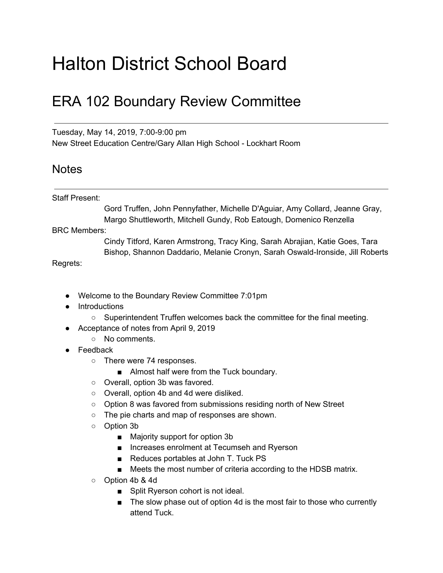## Halton District School Board

## ERA 102 Boundary Review Committee

Tuesday, May 14, 2019, 7:00-9:00 pm New Street Education Centre/Gary Allan High School - Lockhart Room

## **Notes**

## Staff Present:

Gord Truffen, John Pennyfather, Michelle D'Aguiar, Amy Collard, Jeanne Gray, Margo Shuttleworth, Mitchell Gundy, Rob Eatough, Domenico Renzella

BRC Members:

Cindy Titford, Karen Armstrong, Tracy King, Sarah Abrajian, Katie Goes, Tara Bishop, Shannon Daddario, Melanie Cronyn, Sarah Oswald-Ironside, Jill Roberts

Regrets:

- Welcome to the Boundary Review Committee 7:01pm
- Introductions
	- Superintendent Truffen welcomes back the committee for the final meeting.
- Acceptance of notes from April 9, 2019
	- No comments.
- Feedback
	- There were 74 responses.
		- Almost half were from the Tuck boundary.
	- Overall, option 3b was favored.
	- Overall, option 4b and 4d were disliked.
	- Option 8 was favored from submissions residing north of New Street
	- The pie charts and map of responses are shown.
	- Option 3b
		- Majority support for option 3b
		- Increases enrolment at Tecumseh and Ryerson
		- Reduces portables at John T. Tuck PS
		- Meets the most number of criteria according to the HDSB matrix.
	- Option 4b & 4d
		- Split Ryerson cohort is not ideal.
		- The slow phase out of option 4d is the most fair to those who currently attend Tuck.